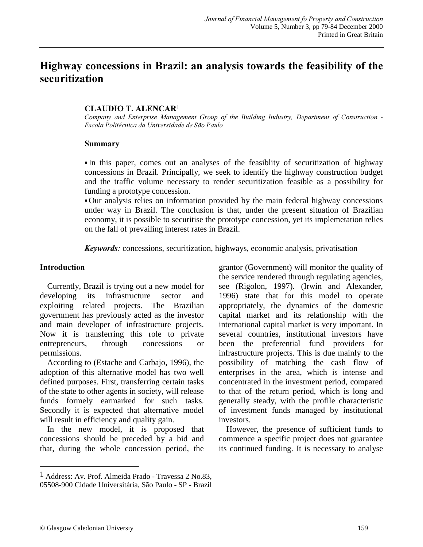# Highway concessions in Brazil: an analysis towards the feasibility of the securitization

#### CLAUDIO T. ALENCAR<sup>1</sup>

Company and Enterprise Management Group of the Building Industry, Department of Construction -Escola Politécnica da Universidade de São Paulo

#### Summary

 In this paper, comes out an analyses of the feasiblity of securitization of highway concessions in Brazil. Principally, we seek to identify the highway construction budget and the traffic volume necessary to render securitization feasible as a possibility for funding a prototype concession.

Our analysis relies on information provided by the main federal highway concessions under way in Brazil. The conclusion is that, under the present situation of Brazilian economy, it is possible to securitise the prototype concession, yet its implemetation relies on the fall of prevailing interest rates in Brazil.

Keywords: concessions, securitization, highways, economic analysis, privatisation

#### Introduction

Currently, Brazil is trying out a new model for developing its infrastructure sector and exploiting related projects. The Brazilian government has previously acted as the investor and main developer of infrastructure projects. Now it is transferring this role to private entrepreneurs, through concessions or permissions.

According to (Estache and Carbajo, 1996), the adoption of this alternative model has two well defined purposes. First, transferring certain tasks of the state to other agents in society, will release funds formely earmarked for such tasks. Secondly it is expected that alternative model will result in efficiency and quality gain.

In the new model, it is proposed that concessions should be preceded by a bid and that, during the whole concession period, the grantor (Government) will monitor the quality of the service rendered through regulating agencies, see (Rigolon, 1997). (Irwin and Alexander, 1996) state that for this model to operate appropriately, the dynamics of the domestic capital market and its relationship with the international capital market is very important. In several countries, institutional investors have been the preferential fund providers for infrastructure projects. This is due mainly to the possibility of matching the cash flow of enterprises in the area, which is intense and concentrated in the investment period, compared to that of the return period, which is long and generally steady, with the profile characteristic of investment funds managed by institutional investors.

However, the presence of sufficient funds to commence a specific project does not guarantee its continued funding. It is necessary to analyse

-

<sup>1</sup> Address: Av. Prof. Almeida Prado - Travessa 2 No.83, 05508-900 Cidade Universitária, São Paulo - SP - Brazil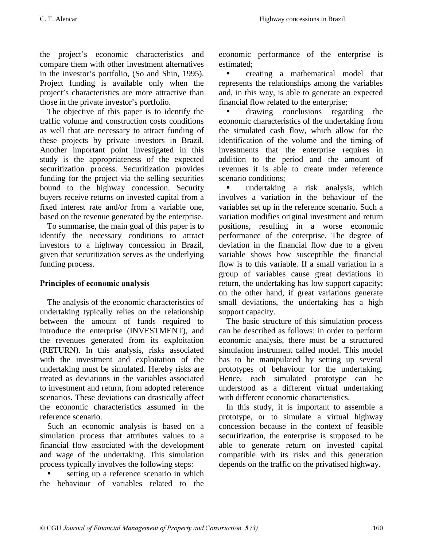the project's economic characteristics and compare them with other investment alternatives in the investor's portfolio, (So and Shin, 1995). Project funding is available only when the project's characteristics are more attractive than those in the private investor's portfolio.

The objective of this paper is to identify the traffic volume and construction costs conditions as well that are necessary to attract funding of these projects by private investors in Brazil. Another important point investigated in this study is the appropriateness of the expected securitization process. Securitization provides funding for the project via the selling securities bound to the highway concession. Security buyers receive returns on invested capital from a fixed interest rate and/or from a variable one, based on the revenue generated by the enterprise.

To summarise, the main goal of this paper is to identify the necessary conditions to attract investors to a highway concession in Brazil, given that securitization serves as the underlying funding process.

# Principles of economic analysis

The analysis of the economic characteristics of undertaking typically relies on the relationship between the amount of funds required to introduce the enterprise (INVESTMENT), and the revenues generated from its exploitation (RETURN). In this analysis, risks associated with the investment and exploitation of the undertaking must be simulated. Hereby risks are treated as deviations in the variables associated to investment and return, from adopted reference scenarios. These deviations can drastically affect the economic characteristics assumed in the reference scenario.

Such an economic analysis is based on a simulation process that attributes values to a financial flow associated with the development and wage of the undertaking. This simulation process typically involves the following steps:

 setting up a reference scenario in which the behaviour of variables related to the

economic performance of the enterprise is estimated;

 creating a mathematical model that represents the relationships among the variables and, in this way, is able to generate an expected financial flow related to the enterprise;

 drawing conclusions regarding the economic characteristics of the undertaking from the simulated cash flow, which allow for the identification of the volume and the timing of investments that the enterprise requires in addition to the period and the amount of revenues it is able to create under reference scenario conditions;

 undertaking a risk analysis, which involves a variation in the behaviour of the variables set up in the reference scenario. Such a variation modifies original investment and return positions, resulting in a worse economic performance of the enterprise. The degree of deviation in the financial flow due to a given variable shows how susceptible the financial flow is to this variable. If a small variation in a group of variables cause great deviations in return, the undertaking has low support capacity; on the other hand, if great variations generate small deviations, the undertaking has a high support capacity.

The basic structure of this simulation process can be described as follows: in order to perform economic analysis, there must be a structured simulation instrument called model. This model has to be manipulated by setting up several prototypes of behaviour for the undertaking. Hence, each simulated prototype can be understood as a different virtual undertaking with different economic characteristics.

In this study, it is important to assemble a prototype, or to simulate a virtual highway concession because in the context of feasible securitization, the enterprise is supposed to be able to generate return on invested capital compatible with its risks and this generation depends on the traffic on the privatised highway.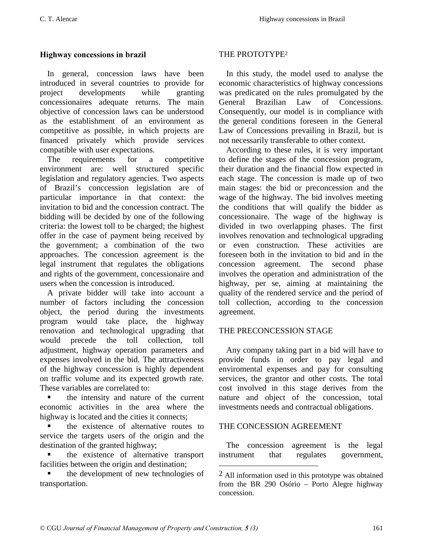### Highway concessions in brazil

In general, concession laws have been introduced in several countries to provide for project developments while granting concessionaires adequate returns. The main objective of concession laws can be understood as the establishment of an environment as competitive as possible, in which projects are financed privately which provide services compatible with user expectations.

The requirements for a competitive environment are: well structured specific legislation and regulatory agencies. Two aspects of Brazil's conccession legislation are of particular importance in that context: the invitation to bid and the concession contract. The bidding will be decided by one of the following criteria: the lowest toll to be charged; the highest offer in the case of payment being received by the government; a combination of the two approaches. The concession agreement is the legal instrument that regulates the obligations and rights of the government, concessionaire and users when the concession is introduced.

A private bidder will take into account a number of factors including the concession object, the period during the investments program would take place, the highway renovation and technological upgrading that would precede the toll collection, toll adjustment, highway operation parameters and expenses involved in the bid. The attractiveness of the highway concession is highly dependent on traffic volume and its expected growth rate. These variables are correlated to:

 the intensity and nature of the current economic activities in the area where the highway is located and the cities it connects;

 the existence of alternative routes to service the targets users of the origin and the destination of the granted highway;

 the existence of alternative transport facilities between the origin and destination;

 the development of new technologies of transportation.

#### THE PROTOTYPE2

In this study, the model used to analyse the economic characteristics of highway concessions was predicated on the rules promulgated by the General Brazilian Law of Concessions. Consequently, our model is in compliance with the general conditions foreseen in the General Law of Concessions prevailing in Brazil, but is not necessarily transferable to other context.

According to these rules, it is very important to define the stages of the concession program, their duration and the financial flow expected in each stage. The concession is made up of two main stages: the bid or preconcession and the wage of the highway. The bid involves meeting the conditions that will qualify the bidder as concessionaire. The wage of the highway is divided in two overlapping phases. The first involves renovation and technological upgrading or even construction. These activities are foreseen both in the invitation to bid and in the concession agreement. The second phase involves the operation and administration of the highway, per se, aiming at maintaining the quality of the rendered service and the period of toll collection, according to the concession agreement.

#### THE PRECONCESSION STAGE

Any company taking part in a bid will have to provide funds in order to pay legal and enviromental expenses and pay for consulting services, the grantor and other costs. The total cost involved in this stage derives from the nature and object of the concession, total investments needs and contractual obligations.

# THE CONCESSION AGREEMENT

 $\overline{a}$ 

The concession agreement is the legal instrument that regulates government,

<sup>2</sup> All information used in this prototype was obtained from the BR 290 Osório – Porto Alegre highway concession.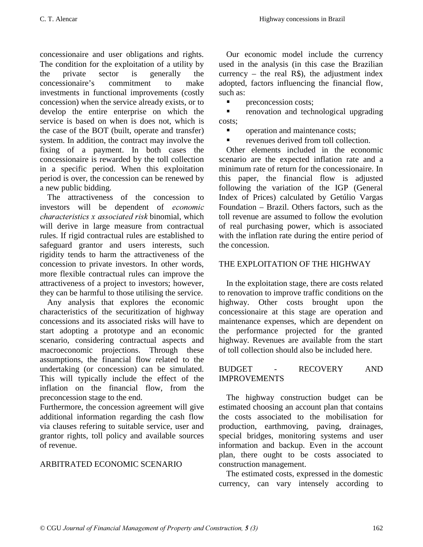concessionaire and user obligations and rights. The condition for the exploitation of a utility by the private sector is generally the concessionaire's commitment to make investments in functional improvements (costly concession) when the service already exists, or to develop the entire enterprise on which the service is based on when is does not, which is the case of the BOT (built, operate and transfer) system. In addition, the contract may involve the fixing of a payment. In both cases the concessionaire is rewarded by the toll collection in a specific period. When this exploitation period is over, the concession can be renewed by a new public bidding.

The attractiveness of the concession to investors will be dependent of *economic*  $characteristics x associated risk binomial, which$ will derive in large measure from contractual rules. If rigid contractual rules are established to safeguard grantor and users interests, such rigidity tends to harm the attractiveness of the concession to private investors. In other words, more flexible contractual rules can improve the attractiveness of a project to investors; however, they can be harmful to those utilising the service.

Any analysis that explores the economic characteristics of the securitization of highway concessions and its associated risks will have to start adopting a prototype and an economic scenario, considering contractual aspects and macroeconomic projections. Through these assumptions, the financial flow related to the undertaking (or concession) can be simulated. This will typically include the effect of the inflation on the financial flow, from the preconcession stage to the end.

Furthermore, the concession agreement will give additional information regarding the cash flow via clauses refering to suitable service, user and grantor rights, toll policy and available sources of revenue.

# ARBITRATED ECONOMIC SCENARIO

Our economic model include the currency used in the analysis (in this case the Brazilian currency – the real  $R\$ ), the adjustment index adopted, factors influencing the financial flow, such as:

**Parameter costs**;

**•** renovation and technological upgrading costs;

**•** operation and maintenance costs;

**revenues derived from toll collection.** 

Other elements included in the economic scenario are the expected inflation rate and a minimum rate of return for the concessionaire. In this paper, the financial flow is adjusted following the variation of the IGP (General Index of Prices) calculated by Getúlio Vargas Foundation – Brazil. Others factors, such as the toll revenue are assumed to follow the evolution of real purchasing power, which is associated with the inflation rate during the entire period of the concession.

# THE EXPLOITATION OF THE HIGHWAY

In the exploitation stage, there are costs related to renovation to improve traffic conditions on the highway. Other costs brought upon the concessionaire at this stage are operation and maintenance expenses, which are dependent on the performance projected for the granted highway. Revenues are available from the start of toll collection should also be included here.

### BUDGET - RECOVERY AND IMPROVEMENTS

The highway construction budget can be estimated choosing an account plan that contains the costs associated to the mobilisation for production, earthmoving, paving, drainages, special bridges, monitoring systems and user information and backup. Even in the account plan, there ought to be costs associated to construction management.

The estimated costs, expressed in the domestic currency, can vary intensely according to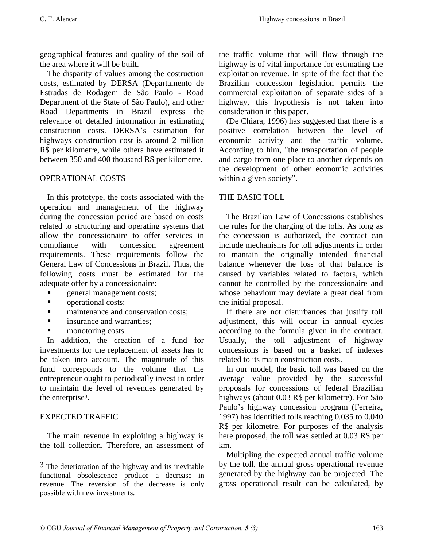geographical features and quality of the soil of the area where it will be built.

The disparity of values among the costruction costs, estimated by DERSA (Departamento de Estradas de Rodagem de São Paulo - Road Department of the State of São Paulo), and other Road Departments in Brazil express the relevance of detailed information in estimating construction costs. DERSA's estimation for highways construction cost is around 2 million R\$ per kilometre, while others have estimated it between 350 and 400 thousand R\$ per kilometre.

# OPERATIONAL COSTS

In this prototype, the costs associated with the operation and management of the highway during the concession period are based on costs related to structuring and operating systems that allow the concessionaire to offer services in compliance with concession agreement requirements. These requirements follow the General Law of Concessions in Brazil. Thus, the following costs must be estimated for the adequate offer by a concessionaire:

- **queral management costs;**
- **n** operational costs:
- **n** maintenance and conservation costs;
- insurance and warranties;
- monotoring costs.

In addition, the creation of a fund for investments for the replacement of assets has to be taken into account. The magnitude of this fund corresponds to the volume that the entrepreneur ought to periodically invest in order to maintain the level of revenues generated by the enterprise3.

#### EXPECTED TRAFFIC

-

The main revenue in exploiting a highway is the toll collection. Therefore, an assessment of the traffic volume that will flow through the highway is of vital importance for estimating the exploitation revenue. In spite of the fact that the Brazilian concession legislation permits the commercial exploitation of separate sides of a highway, this hypothesis is not taken into consideration in this paper.

(De Chiara, 1996) has suggested that there is a positive correlation between the level of economic activity and the traffic volume. According to him, "the transportation of people and cargo from one place to another depends on the development of other economic activities within a given society".

#### THE BASIC TOLL

The Brazilian Law of Concessions establishes the rules for the charging of the tolls. As long as the concession is authorized, the contract can include mechanisms for toll adjustments in order to mantain the originally intended financial balance whenever the loss of that balance is caused by variables related to factors, which cannot be controlled by the concessionaire and whose behaviour may deviate a great deal from the initial proposal.

If there are not disturbances that justify toll adjustment, this will occur in annual cycles according to the formula given in the contract. Usually, the toll adjustment of highway concessions is based on a basket of indexes related to its main construction costs.

In our model, the basic toll was based on the average value provided by the successful proposals for concessions of federal Brazilian highways (about 0.03 R\$ per kilometre). For São Paulo's highway concession program (Ferreira, 1997) has identified tolls reaching 0.035 to 0.040 R\$ per kilometre. For purposes of the analysis here proposed, the toll was settled at 0.03 R\$ per km.

Multipling the expected annual traffic volume by the toll, the annual gross operational revenue generated by the highway can be projected. The gross operational result can be calculated, by

 $3$  The deterioration of the highway and its inevitable functional obsolescence produce a decrease in revenue. The reversion of the decrease is only possible with new investments.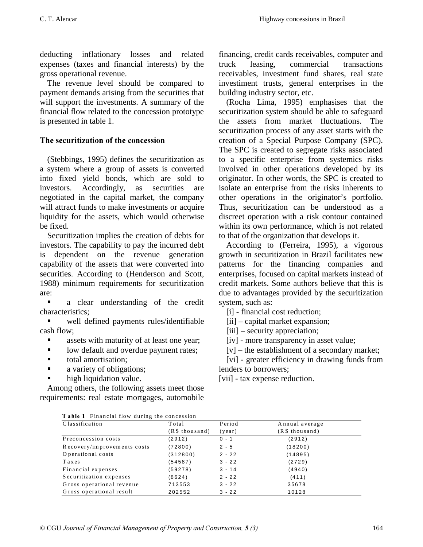deducting inflationary losses and related expenses (taxes and financial interests) by the gross operational revenue.

The revenue level should be compared to payment demands arising from the securities that will support the investments. A summary of the financial flow related to the concession prototype is presented in table 1.

# The securitization of the concession

(Stebbings, 1995) defines the securitization as a system where a group of assets is converted into fixed yield bonds, which are sold to investors. Accordingly, as securities are negotiated in the capital market, the company will attract funds to make investments or acquire liquidity for the assets, which would otherwise be fixed.

Securitization implies the creation of debts for investors. The capability to pay the incurred debt is dependent on the revenue generation capability of the assets that were converted into securities. According to (Henderson and Scott, 1988) minimum requirements for securitization are:

• a clear understanding of the credit characteristics;

 well defined payments rules/identifiable cash flow;

- assets with maturity of at least one year;
- **I** low default and overdue payment rates;
- **total amortisation;**
- **a** variety of obligations;
- high liquidation value.

Among others, the following assets meet those requirements: real estate mortgages, automobile

financing, credit cards receivables, computer and truck leasing, commercial transactions receivables, investment fund shares, real state investiment trusts, general enterprises in the building industry sector, etc.

(Rocha Lima, 1995) emphasises that the securitization system should be able to safeguard the assets from market fluctuations. The securitization process of any asset starts with the creation of a Special Purpose Company (SPC). The SPC is created to segregate risks associated to a specific enterprise from systemics risks involved in other operations developed by its originator. In other words, the SPC is created to isolate an enterprise from the risks inherents to other operations in the originator's portfolio. Thus, securitization can be understood as a discreet operation with a risk contour contained within its own performance, which is not related to that of the organization that develops it.

According to (Ferreira, 1995), a vigorous growth in securitization in Brazil facilitates new patterns for the financing companies and enterprises, focused on capital markets instead of credit markets. Some authors believe that this is due to advantages provided by the securitization system, such as:

[i] - financial cost reduction;

[ii] – capital market expansion;

[iii] – security appreciation;

[iv] - more transparency in asset value;

[v] – the establishment of a secondary market;

[vi] - greater efficiency in drawing funds from lenders to borrowers;

[vii] - tax expense reduction.

| Table 1 Financial flow during the concession |  |
|----------------------------------------------|--|
|----------------------------------------------|--|

| Classification              | Total          | Period   | Annual average |
|-----------------------------|----------------|----------|----------------|
|                             | (R\$ thousand) | (year)   | (R\$ thousand) |
| Preconcession costs         | (2912)         | $0 - 1$  | (2912)         |
| Recovery/improvements costs | (72800)        | $2 - 5$  | (18200)        |
| Operational costs           | (312800)       | $2 - 22$ | (14895)        |
| Taxes                       | (54587)        | $3 - 22$ | (2729)         |
| Financial expenses          | (59278)        | $3 - 14$ | (4940)         |
| Securitization expenses     | (8624)         | $2 - 22$ | (411)          |
| Gross operational revenue   | 713553         | $3 - 22$ | 35678          |
| Gross operational result    | 202552         | $3 - 22$ | 10128          |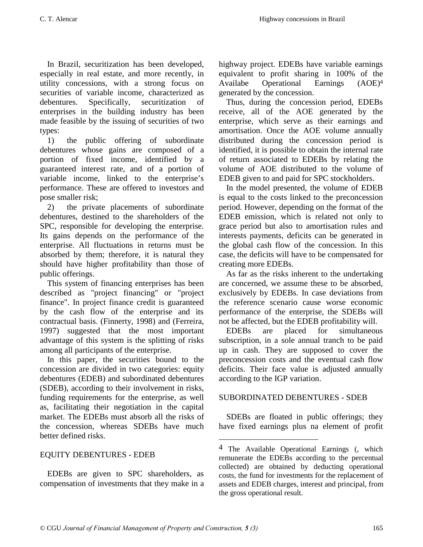In Brazil, securitization has been developed, especially in real estate, and more recently, in utility concessions, with a strong focus on securities of variable income, characterized as debentures. Specifically, securitization of enterprises in the building industry has been made feasible by the issuing of securities of two types:

1) the public offering of subordinate debentures whose gains are composed of a portion of fixed income, identified by a guaranteed interest rate, and of a portion of variable income, linked to the enterprise's performance. These are offered to investors and pose smaller risk;

2) the private placements of subordinate debentures, destined to the shareholders of the SPC, responsible for developing the enterprise. Its gains depends on the performance of the enterprise. All fluctuations in returns must be absorbed by them; therefore, it is natural they should have higher profitability than those of public offerings.

This system of financing enterprises has been described as "project financing" or "project finance". In project finance credit is guaranteed by the cash flow of the enterprise and its contractual basis. (Finnerty, 1998) and (Ferreira, 1997) suggested that the most important advantage of this system is the splitting of risks among all participants of the enterprise.

In this paper, the securities bound to the concession are divided in two categories: equity debentures (EDEB) and subordinated debentures (SDEB), according to their involvement in risks, funding requirements for the enterprise, as well as, facilitating their negotiation in the capital market. The EDEBs must absorb all the risks of the concession, whereas SDEBs have much better defined risks.

# EQUITY DEBENTURES - EDEB

EDEBs are given to SPC shareholders, as compensation of investments that they make in a highway project. EDEBs have variable earnings equivalent to profit sharing in 100% of the Availabe Operational Earnings (AOE)4 generated by the concession.

Thus, during the concession period, EDEBs receive, all of the AOE generated by the enterprise, which serve as their earnings and amortisation. Once the AOE volume annually distributed during the concession period is identified, it is possible to obtain the internal rate of return associated to EDEBs by relating the volume of AOE distributed to the volume of EDEB given to and paid for SPC stockholders.

In the model presented, the volume of EDEB is equal to the costs linked to the preconcession period. However, depending on the format of the EDEB emission, which is related not only to grace period but also to amortisation rules and interests payments, deficits can be generated in the global cash flow of the concession. In this case, the deficits will have to be compensated for creating more EDEBs.

As far as the risks inherent to the undertaking are concerned, we assume these to be absorbed, exclusively by EDEBs. In case deviations from the reference scenario cause worse economic performance of the enterprise, the SDEBs will not be affected, but the EDEB profitability will.

EDEBs are placed for simultaneous subscription, in a sole annual tranch to be paid up in cash. They are supposed to cover the preconcession costs and the eventual cash flow deficits. Their face value is adjusted annually according to the IGP variation.

# SUBORDINATED DEBENTURES - SDEB

 $\overline{a}$ 

SDEBs are floated in public offerings; they have fixed earnings plus na element of profit

<sup>4</sup> The Available Operational Earnings (, which remunerate the EDEBs according to the percentual collected) are obtained by deducting operational costs, the fund for investments for the replacement of assets and EDEB charges, interest and principal, from the gross operational result.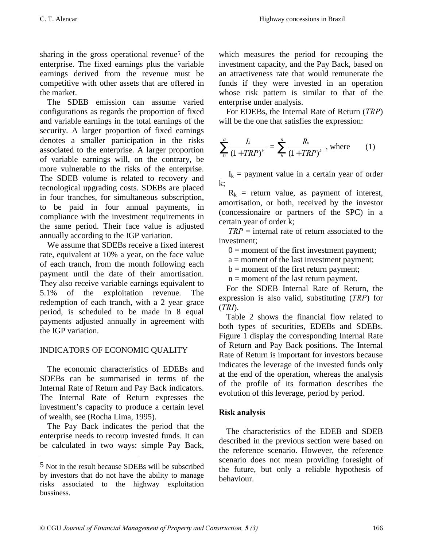sharing in the gross operational revenue<sup>5</sup> of the enterprise. The fixed earnings plus the variable earnings derived from the revenue must be competitive with other assets that are offered in the market.

The SDEB emission can assume varied configurations as regards the proportion of fixed and variable earnings in the total earnings of the security. A larger proportion of fixed earnings denotes a smaller participation in the risks associated to the enterprise. A larger proportion of variable earnings will, on the contrary, be more vulnerable to the risks of the enterprise. The SDEB volume is related to recovery and tecnological upgrading costs. SDEBs are placed in four tranches, for simultaneous subscription, to be paid in four annual payments, in compliance with the investment requirements in the same period. Their face value is adjusted annually according to the IGP variation.

We assume that SDEBs receive a fixed interest rate, equivalent at 10% a year, on the face value of each tranch, from the month following each payment until the date of their amortisation. They also receive variable earnings equivalent to 5.1% of the exploitation revenue. The redemption of each tranch, with a 2 year grace period, is scheduled to be made in 8 equal payments adjusted annually in agreement with the IGP variation.

# INDICATORS OF ECONOMIC QUALITY

The economic characteristics of EDEBs and SDEBs can be summarised in terms of the Internal Rate of Return and Pay Back indicators. The Internal Rate of Return expresses the investment's capacity to produce a certain level of wealth, see (Rocha Lima, 1995).

The Pay Back indicates the period that the enterprise needs to recoup invested funds. It can be calculated in two ways: simple Pay Back,

-

which measures the period for recouping the investment capacity, and the Pay Back, based on an atractiveness rate that would remunerate the funds if they were invested in an operation whose risk pattern is similar to that of the enterprise under analysis.

For EDEBs, the Internal Rate of Return  $(TRP)$ will be the one that satisfies the expression:

$$
\sum_{0}^{a} \frac{I_{k}}{(1 + TRP)^{k}} = \sum_{b}^{n} \frac{R_{k}}{(1 + TRP)^{k}}, \text{ where } (1)
$$

 $I_k$  = payment value in a certain year of order k;

 $R_k$  = return value, as payment of interest, amortisation, or both, received by the investor (concessionaire or partners of the SPC) in a certain year of order k;

 $TRP =$  internal rate of return associated to the investment;

 $0 =$  moment of the first investment payment;

a = moment of the last investment payment;

 $b =$  moment of the first return payment;

 $n =$  moment of the last return payment.

For the SDEB Internal Rate of Return, the expression is also valid, substituting  $(TRP)$  for  $(TRI).$ 

Table 2 shows the financial flow related to both types of securities, EDEBs and SDEBs. Figure 1 display the corresponding Internal Rate of Return and Pay Back positions. The Internal Rate of Return is important for investors because indicates the leverage of the invested funds only at the end of the operation, whereas the analysis of the profile of its formation describes the evolution of this leverage, period by period.

# Risk analysis

The characteristics of the EDEB and SDEB described in the previous section were based on the reference scenario. However, the reference scenario does not mean providing foresight of the future, but only a reliable hypothesis of behaviour.

<sup>5</sup> Not in the result because SDEBs will be subscribed by investors that do not have the ability to manage risks associated to the highway exploitation bussiness.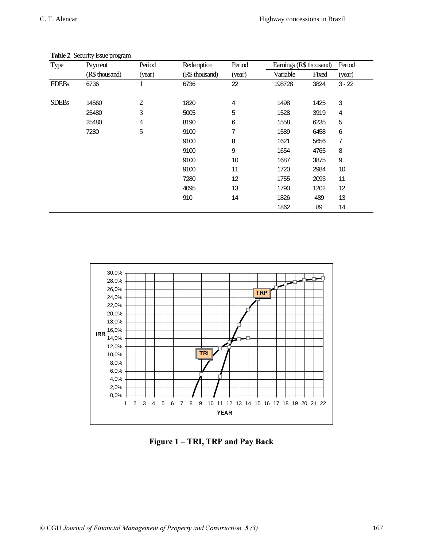| Type         | Payment        | Period | Redemption     | Period | Earnings (R\$ thousand) |       | Period   |
|--------------|----------------|--------|----------------|--------|-------------------------|-------|----------|
|              | (R\$ thousand) | (year) | (R\$ thousand) | (year) | Variable                | Fixed | (year)   |
| <b>EDEBs</b> | 6736           |        | 6736           | 22     | 198728                  | 3824  | $3 - 22$ |
| <b>SDEBs</b> | 14560          | 2      | 1820           | 4      | 1498                    | 1425  | 3        |
|              | 25480          | 3      | 5005           | 5      | 1528                    | 3919  | 4        |
|              | 25480          | 4      | 8190           | 6      | 1558                    | 6235  | 5        |
|              | 7280           | 5      | 9100           | 7      | 1589                    | 6458  | 6        |
|              |                |        | 9100           | 8      | 1621                    | 5656  | 7        |
|              |                |        | 9100           | 9      | 1654                    | 4765  | 8        |
|              |                |        | 9100           | 10     | 1687                    | 3875  | 9        |
|              |                |        | 9100           | 11     | 1720                    | 2984  | 10       |
|              |                |        | 7280           | 12     | 1755                    | 2093  | 11       |
|              |                |        | 4095           | 13     | 1790                    | 1202  | 12       |
|              |                |        | 910            | 14     | 1826                    | 489   | 13       |
|              |                |        |                |        | 1862                    | 89    | 14       |

#### Table 2 Security issue program



Figure 1 - TRI, TRP and Pay Back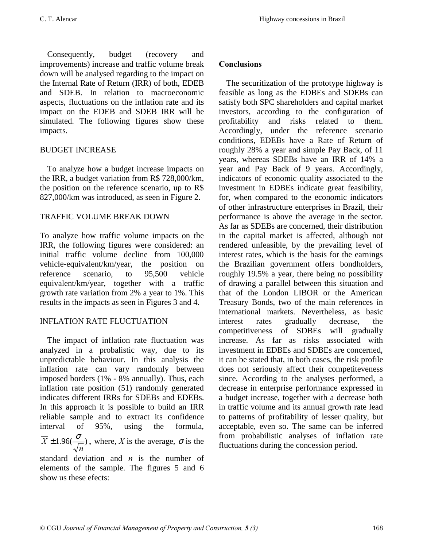Consequently, budget (recovery and improvements) increase and traffic volume break down will be analysed regarding to the impact on the Internal Rate of Return (IRR) of both, EDEB and SDEB. In relation to macroeconomic aspects, fluctuations on the inflation rate and its impact on the EDEB and SDEB IRR will be simulated. The following figures show these impacts.

# BUDGET INCREASE

To analyze how a budget increase impacts on the IRR, a budget variation from R\$ 728,000/km, the position on the reference scenario, up to R\$ 827,000/km was introduced, as seen in Figure 2.

# TRAFFIC VOLUME BREAK DOWN

To analyze how traffic volume impacts on the IRR, the following figures were considered: an initial traffic volume decline from 100,000 vehicle-equivalent/km/year, the position on reference scenario, to 95,500 vehicle equivalent/km/year, together with a traffic growth rate variation from 2% a year to 1%. This results in the impacts as seen in Figures 3 and 4.

# INFLATION RATE FLUCTUATION

The impact of inflation rate fluctuation was analyzed in a probalistic way, due to its unpredictable behaviour. In this analysis the inflation rate can vary randomly between imposed borders (1% - 8% annually). Thus, each inflation rate position (51) randomly generated indicates different IRRs for SDEBs and EDEBs. In this approach it is possible to build an IRR reliable sample and to extract its confidence interval of 95%, using the formula,  $1.96(\frac{6}{\sqrt{2}})$  $\boldsymbol{n}$  $\overline{X} \pm 1.96(\frac{\sigma}{\sqrt{n}})$ , where, X is the average,  $\sigma$  is the standard deviation and  $n$  is the number of

elements of the sample. The figures 5 and 6 show us these efects:

# Conclusions

The securitization of the prototype highway is feasible as long as the EDBEs and SDEBs can satisfy both SPC shareholders and capital market investors, according to the configuration of profitability and risks related to them. Accordingly, under the reference scenario conditions, EDEBs have a Rate of Return of roughly 28% a year and simple Pay Back, of 11 years, whereas SDEBs have an IRR of 14% a year and Pay Back of 9 years. Accordingly, indicators of economic quality associated to the investment in EDBEs indicate great feasibility, for, when compared to the economic indicators of other infrastructure enterprises in Brazil, their performance is above the average in the sector. As far as SDEBs are concerned, their distribution in the capital market is affected, although not rendered unfeasible, by the prevailing level of interest rates, which is the basis for the earnings the Brazilian government offers bondholders, roughly 19.5% a year, there being no possibility of drawing a parallel between this situation and that of the London LIBOR or the American Treasury Bonds, two of the main references in international markets. Nevertheless, as basic interest rates gradually decrease, the competitiveness of SDBEs will gradually increase. As far as risks associated with investment in EDBEs and SDBEs are concerned, it can be stated that, in both cases, the risk profile does not seriously affect their competiteveness since. According to the analyses performed, a decrease in enterprise performance expressed in a budget increase, together with a decrease both in traffic volume and its annual growth rate lead to patterns of profitability of lesser quality, but acceptable, even so. The same can be inferred from probabilistic analyses of inflation rate fluctuations during the concession period.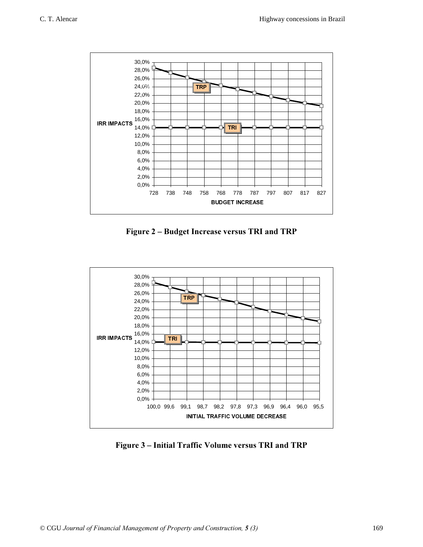

Figure 2 – Budget Increase versus TRI and TRP



Figure 3 - Initial Traffic Volume versus TRI and TRP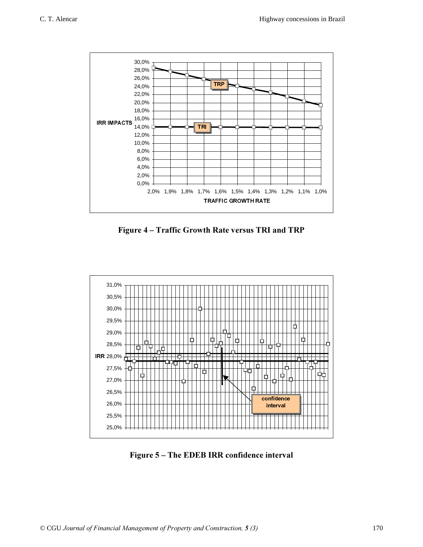

Figure 4 - Traffic Growth Rate versus TRI and TRP



Figure 5 - The EDEB IRR confidence interval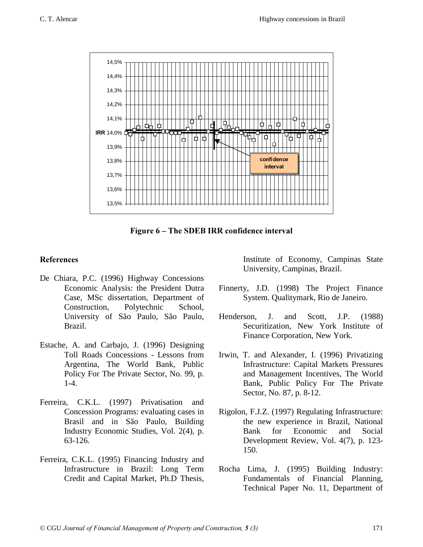

Figure 6 – The SDEB IRR confidence interval

### References

- De Chiara, P.C. (1996) Highway Concessions Economic Analysis: the President Dutra Case, MSc dissertation, Department of Construction, Polytechnic School, University of São Paulo, São Paulo, Brazil.
- Estache, A. and Carbajo, J. (1996) Designing Toll Roads Concessions - Lessons from Argentina, The World Bank, Public Policy For The Private Sector, No. 99, p. 1-4.
- Ferreira, C.K.L. (1997) Privatisation and Concession Programs: evaluating cases in Brasil and in São Paulo, Building Industry Economic Studies, Vol. 2(4), p. 63-126.
- Ferreira, C.K.L. (1995) Financing Industry and Infrastructure in Brazil: Long Term Credit and Capital Market, Ph.D Thesis,

Institute of Economy, Campinas State University, Campinas, Brazil.

- Finnerty, J.D. (1998) The Project Finance System. Qualitymark, Rio de Janeiro.
- Henderson, J. and Scott, J.P. (1988) Securitization, New York Institute of Finance Corporation, New York.
- Irwin, T. and Alexander, I. (1996) Privatizing Infrastructure: Capital Markets Pressures and Management Incentives, The World Bank, Public Policy For The Private Sector, No. 87, p. 8-12.
- Rigolon, F.J.Z. (1997) Regulating Infrastructure: the new experience in Brazil, National Bank for Economic and Social Development Review, Vol. 4(7), p. 123- 150.
- Rocha Lima, J. (1995) Building Industry: Fundamentals of Financial Planning, Technical Paper No. 11, Department of